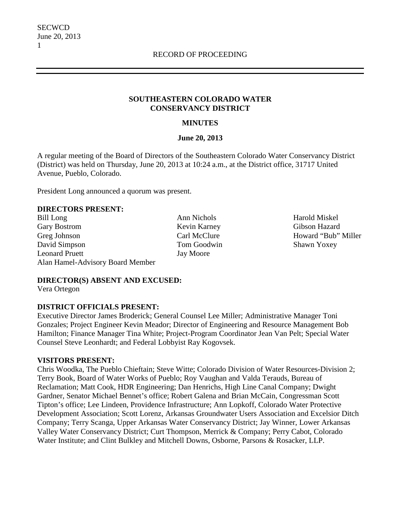#### **SOUTHEASTERN COLORADO WATER CONSERVANCY DISTRICT**

### **MINUTES**

#### **June 20, 2013**

A regular meeting of the Board of Directors of the Southeastern Colorado Water Conservancy District (District) was held on Thursday, June 20, 2013 at 10:24 a.m., at the District office, 31717 United Avenue, Pueblo, Colorado.

President Long announced a quorum was present.

#### **DIRECTORS PRESENT:**

Bill Long Ann Nichols Ann Nichols Harold Miskel Gary Bostrom Kevin Karney Gibson Hazard Greg Johnson Carl McClure Howard "Bub" Miller David Simpson Tom Goodwin Shawn Yoxey Leonard Pruett Jay Moore Alan Hamel-Advisory Board Member

## **DIRECTOR(S) ABSENT AND EXCUSED:**

Vera Ortegon

## **DISTRICT OFFICIALS PRESENT:**

Executive Director James Broderick; General Counsel Lee Miller; Administrative Manager Toni Gonzales; Project Engineer Kevin Meador; Director of Engineering and Resource Management Bob Hamilton; Finance Manager Tina White; Project-Program Coordinator Jean Van Pelt; Special Water Counsel Steve Leonhardt; and Federal Lobbyist Ray Kogovsek.

#### **VISITORS PRESENT:**

Chris Woodka, The Pueblo Chieftain; Steve Witte; Colorado Division of Water Resources-Division 2; Terry Book, Board of Water Works of Pueblo; Roy Vaughan and Valda Terauds, Bureau of Reclamation; Matt Cook, HDR Engineering; Dan Henrichs, High Line Canal Company; Dwight Gardner, Senator Michael Bennet's office; Robert Galena and Brian McCain, Congressman Scott Tipton's office; Lee Lindeen, Providence Infrastructure; Ann Lopkoff, Colorado Water Protective Development Association; Scott Lorenz, Arkansas Groundwater Users Association and Excelsior Ditch Company; Terry Scanga, Upper Arkansas Water Conservancy District; Jay Winner, Lower Arkansas Valley Water Conservancy District; Curt Thompson, Merrick & Company; Perry Cabot, Colorado Water Institute; and Clint Bulkley and Mitchell Downs, Osborne, Parsons & Rosacker, LLP.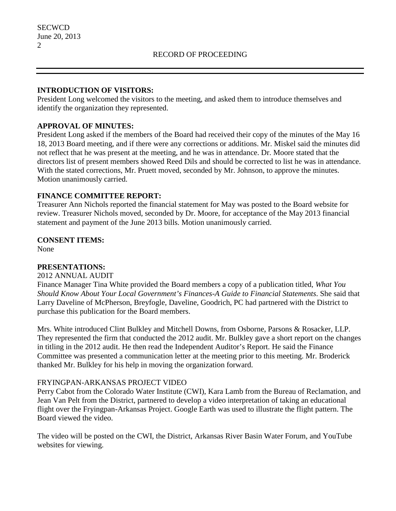### **INTRODUCTION OF VISITORS:**

President Long welcomed the visitors to the meeting, and asked them to introduce themselves and identify the organization they represented.

## **APPROVAL OF MINUTES:**

President Long asked if the members of the Board had received their copy of the minutes of the May 16 18, 2013 Board meeting, and if there were any corrections or additions. Mr. Miskel said the minutes did not reflect that he was present at the meeting, and he was in attendance. Dr. Moore stated that the directors list of present members showed Reed Dils and should be corrected to list he was in attendance. With the stated corrections, Mr. Pruett moved, seconded by Mr. Johnson, to approve the minutes. Motion unanimously carried.

## **FINANCE COMMITTEE REPORT:**

Treasurer Ann Nichols reported the financial statement for May was posted to the Board website for review. Treasurer Nichols moved, seconded by Dr. Moore, for acceptance of the May 2013 financial statement and payment of the June 2013 bills. Motion unanimously carried.

## **CONSENT ITEMS:**

None

## **PRESENTATIONS:**

## 2012 ANNUAL AUDIT

Finance Manager Tina White provided the Board members a copy of a publication titled, *What You Should Know About Your Local Government's Finances-A Guide to Financial Statements*. She said that Larry Daveline of McPherson, Breyfogle, Daveline, Goodrich, PC had partnered with the District to purchase this publication for the Board members.

Mrs. White introduced Clint Bulkley and Mitchell Downs, from Osborne, Parsons & Rosacker, LLP. They represented the firm that conducted the 2012 audit. Mr. Bulkley gave a short report on the changes in titling in the 2012 audit. He then read the Independent Auditor's Report. He said the Finance Committee was presented a communication letter at the meeting prior to this meeting. Mr. Broderick thanked Mr. Bulkley for his help in moving the organization forward.

## FRYINGPAN-ARKANSAS PROJECT VIDEO

Perry Cabot from the Colorado Water Institute (CWI), Kara Lamb from the Bureau of Reclamation, and Jean Van Pelt from the District, partnered to develop a video interpretation of taking an educational flight over the Fryingpan-Arkansas Project. Google Earth was used to illustrate the flight pattern. The Board viewed the video.

The video will be posted on the CWI, the District, Arkansas River Basin Water Forum, and YouTube websites for viewing.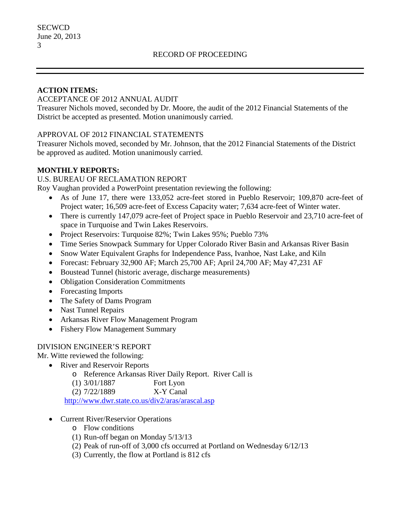### **ACTION ITEMS:**

### ACCEPTANCE OF 2012 ANNUAL AUDIT

Treasurer Nichols moved, seconded by Dr. Moore, the audit of the 2012 Financial Statements of the District be accepted as presented. Motion unanimously carried.

## APPROVAL OF 2012 FINANCIAL STATEMENTS

Treasurer Nichols moved, seconded by Mr. Johnson, that the 2012 Financial Statements of the District be approved as audited. Motion unanimously carried.

## **MONTHLY REPORTS:**

### U.S. BUREAU OF RECLAMATION REPORT

Roy Vaughan provided a PowerPoint presentation reviewing the following:

- As of June 17, there were 133,052 acre-feet stored in Pueblo Reservoir; 109,870 acre-feet of Project water; 16,509 acre-feet of Excess Capacity water; 7,634 acre-feet of Winter water.
- There is currently 147,079 acre-feet of Project space in Pueblo Reservoir and 23,710 acre-feet of space in Turquoise and Twin Lakes Reservoirs.
- Project Reservoirs: Turquoise 82%; Twin Lakes 95%; Pueblo 73%
- Time Series Snowpack Summary for Upper Colorado River Basin and Arkansas River Basin
- Snow Water Equivalent Graphs for Independence Pass, Ivanhoe, Nast Lake, and Kiln
- Forecast: February 32,900 AF; March 25,700 AF; April 24,700 AF; May 47,231 AF
- Boustead Tunnel (historic average, discharge measurements)
- Obligation Consideration Commitments
- Forecasting Imports
- The Safety of Dams Program
- Nast Tunnel Repairs
- Arkansas River Flow Management Program
- Fishery Flow Management Summary

## DIVISION ENGINEER'S REPORT

Mr. Witte reviewed the following:

- River and Reservoir Reports
	- o Reference Arkansas River Daily Report. River Call is

 $(1)$  3/01/1887

(2) 7/22/1889 X-Y Canal

<http://www.dwr.state.co.us/div2/aras/arascal.asp>

- Current River/Reservior Operations
	- o Flow conditions
	- (1) Run-off began on Monday 5/13/13
	- (2) Peak of run-off of 3,000 cfs occurred at Portland on Wednesday 6/12/13
	- (3) Currently, the flow at Portland is 812 cfs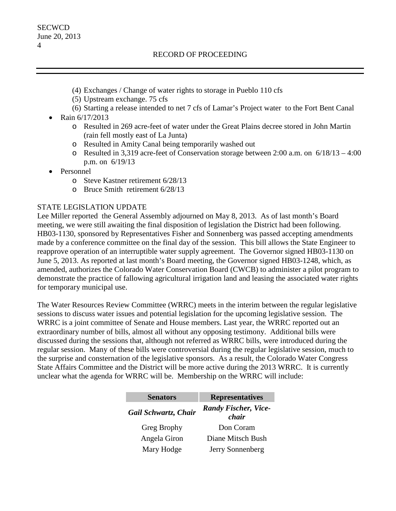- (4) Exchanges / Change of water rights to storage in Pueblo 110 cfs
- (5) Upstream exchange. 75 cfs
- (6) Starting a release intended to net 7 cfs of Lamar's Project water to the Fort Bent Canal
- Rain 6/17/2013
	- o Resulted in 269 acre-feet of water under the Great Plains decree stored in John Martin (rain fell mostly east of La Junta)
	- o Resulted in Amity Canal being temporarily washed out
	- o Resulted in 3,319 acre-feet of Conservation storage between 2:00 a.m. on 6/18/13 4:00 p.m. on 6/19/13
- Personnel
	- o Steve Kastner retirement 6/28/13
	- o Bruce Smith retirement 6/28/13

## STATE LEGISLATION UPDATE

Lee Miller reported the General Assembly adjourned on May 8, 2013. As of last month's Board meeting, we were still awaiting the final disposition of legislation the District had been following. HB03-1130, sponsored by Representatives Fisher and Sonnenberg was passed accepting amendments made by a conference committee on the final day of the session. This bill allows the State Engineer to reapprove operation of an interruptible water supply agreement. The Governor signed HB03-1130 on June 5, 2013. As reported at last month's Board meeting, the Governor signed HB03-1248, which, as amended, authorizes the Colorado Water Conservation Board (CWCB) to administer a pilot program to demonstrate the practice of fallowing agricultural irrigation land and leasing the associated water rights for temporary municipal use.

The Water Resources Review Committee (WRRC) meets in the interim between the regular legislative sessions to discuss water issues and potential legislation for the upcoming legislative session. The WRRC is a joint committee of Senate and House members. Last year, the WRRC reported out an extraordinary number of bills, almost all without any opposing testimony. Additional bills were discussed during the sessions that, although not referred as WRRC bills, were introduced during the regular session. Many of these bills were controversial during the regular legislative session, much to the surprise and consternation of the legislative sponsors. As a result, the Colorado Water Congress State Affairs Committee and the District will be more active during the 2013 WRRC. It is currently unclear what the agenda for WRRC will be. Membership on the WRRC will include:

| <b>Senators</b>      | <b>Representatives</b>               |  |
|----------------------|--------------------------------------|--|
| Gail Schwartz, Chair | <b>Randy Fischer, Vice-</b><br>chair |  |
| Greg Brophy          | Don Coram                            |  |
| Angela Giron         | Diane Mitsch Bush                    |  |
| Mary Hodge           | Jerry Sonnenberg                     |  |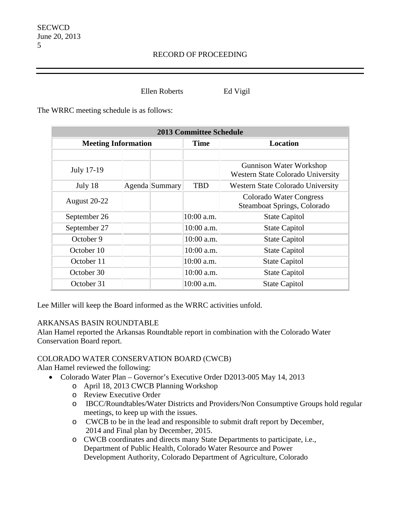Ellen Roberts Ed Vigil

The WRRC meeting schedule is as follows:

| <b>2013 Committee Schedule</b> |  |                |                 |                                                                     |
|--------------------------------|--|----------------|-----------------|---------------------------------------------------------------------|
| <b>Meeting Information</b>     |  | <b>Time</b>    | <b>Location</b> |                                                                     |
|                                |  |                |                 |                                                                     |
| July 17-19                     |  |                |                 | Gunnison Water Workshop<br><b>Western State Colorado University</b> |
| July 18                        |  | Agenda Summary | <b>TBD</b>      | Western State Colorado University                                   |
| <b>August 20-22</b>            |  |                |                 | Colorado Water Congress<br>Steamboat Springs, Colorado              |
| September 26                   |  |                | 10:00 a.m.      | <b>State Capitol</b>                                                |
| September 27                   |  |                | 10:00 a.m.      | <b>State Capitol</b>                                                |
| October 9                      |  |                | 10:00 a.m.      | <b>State Capitol</b>                                                |
| October 10                     |  |                | 10:00 a.m.      | <b>State Capitol</b>                                                |
| October 11                     |  |                | 10:00 a.m.      | <b>State Capitol</b>                                                |
| October 30                     |  |                | 10:00 a.m.      | <b>State Capitol</b>                                                |
| October 31                     |  |                | 10:00 a.m.      | <b>State Capitol</b>                                                |

Lee Miller will keep the Board informed as the WRRC activities unfold.

## ARKANSAS BASIN ROUNDTABLE

Alan Hamel reported the Arkansas Roundtable report in combination with the Colorado Water Conservation Board report.

## COLORADO WATER CONSERVATION BOARD (CWCB)

Alan Hamel reviewed the following:

- Colorado Water Plan Governor's Executive Order D2013-005 May 14, 2013
	- o April 18, 2013 CWCB Planning Workshop
	- o Review Executive Order
	- o IBCC/Roundtables/Water Districts and Providers/Non Consumptive Groups hold regular meetings, to keep up with the issues.
	- o CWCB to be in the lead and responsible to submit draft report by December, 2014 and Final plan by December, 2015.
	- o CWCB coordinates and directs many State Departments to participate, i.e., Department of Public Health, Colorado Water Resource and Power Development Authority, Colorado Department of Agriculture, Colorado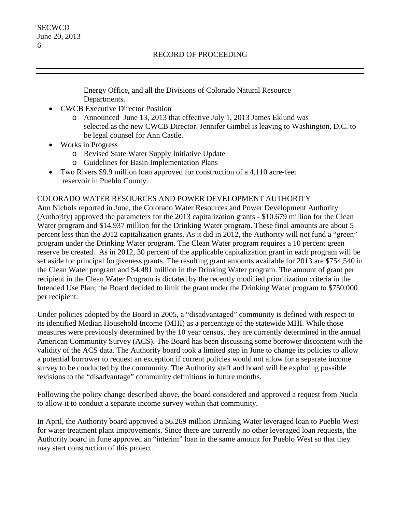Energy Office, and all the Divisions of Colorado Natural Resource Departments.

- CWCB Executive Director Position
	- o Announced June 13, 2013 that effective July 1, 2013 James Eklund was selected as the new CWCB Director. Jennifer Gimbel is leaving to Washington, D.C. to be legal counsel for Ann Castle.
- Works in Progress
	- o Revised State Water Supply Initiative Update
	- o Guidelines for Basin Implementation Plans
- Two Rivers \$9.9 million loan approved for construction of a 4,110 acre-feet reservoir in Pueblo County.

# COLORADO WATER RESOURCES AND POWER DEVELOPMENT AUTHORITY

Ann Nichols reported in June, the Colorado Water Resources and Power Development Authority (Authority) approved the parameters for the 2013 capitalization grants - \$10.679 million for the Clean Water program and \$14.937 million for the Drinking Water program. These final amounts are about 5 percent less than the 2012 capitalization grants. As it did in 2012, the Authority will not fund a "green" program under the Drinking Water program. The Clean Water program requires a 10 percent green reserve be created. As in 2012, 30 percent of the applicable capitalization grant in each program will be set aside for principal forgiveness grants. The resulting grant amounts available for 2013 are \$754,540 in the Clean Water program and \$4.481 million in the Drinking Water program. The amount of grant per recipient in the Clean Water Program is dictated by the recently modified prioritization criteria in the Intended Use Plan; the Board decided to limit the grant under the Drinking Water program to \$750,000 per recipient.

Under policies adopted by the Board in 2005, a "disadvantaged" community is defined with respect to its identified Median Household Income (MHI) as a percentage of the statewide MHI. While those measures were previously determined by the 10 year census, they are currently determined in the annual American Community Survey (ACS). The Board has been discussing some borrower discontent with the validity of the ACS data. The Authority board took a limited step in June to change its policies to allow a potential borrower to request an exception if current policies would not allow for a separate income survey to be conducted by the community. The Authority staff and board will be exploring possible revisions to the "disadvantage" community definitions in future months.

Following the policy change described above, the board considered and approved a request from Nucla to allow it to conduct a separate income survey within that community.

In April, the Authority board approved a \$6.269 million Drinking Water leveraged loan to Pueblo West for water treatment plant improvements. Since there are currently no other leveraged loan requests, the Authority board in June approved an "interim" loan in the same amount for Pueblo West so that they may start construction of this project.